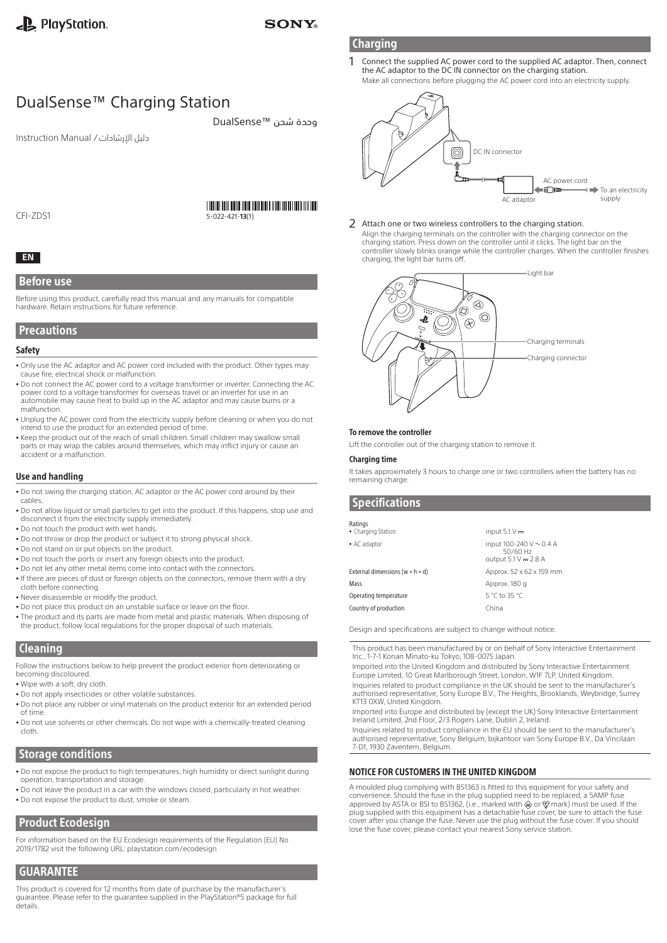### **SONY**

# DualSense™ Charging Station

دليل اإلرشادات / Manual Instruction

# 

وحدة شحن ™DualSense

CFI-ZDS1

# 5-022-421-**13**(1)

#### **EN**

#### Before use

Before using this product, carefully read this manual and any manuals for compatible hardware. Retain instructions for future reference.

#### **Precautions**

#### Safety

- Only use the AC adaptor and AC power cord included with the product. Other types may cause fire, electrical shock or malfunction.
- <sup>ˎ</sup> Do not connect the AC power cord to a voltage transformer or inverter. Connecting the AC power cord to a voltage transformer for overseas travel or an inverter for use in an automobile may cause heat to build up in the AC adaptor and may cause burns or a malfunction.
- <sup>ˎ</sup> Unplug the AC power cord from the electricity supply before cleaning or when you do not intend to use the product for an extended period of time.
- Keep the product out of the reach of small children. Small children may swallow small parts or may wrap the cables around themselves, which may inflict injury or cause an accident or a malfunction.

#### Use and handling

- <sup>ˎ</sup> Do not swing the charging station, AC adaptor or the AC power cord around by their cables.
- <sup>ˎ</sup> Do not allow liquid or small particles to get into the product. If this happens, stop use and disconnect it from the electricity supply immediately.
- Do not touch the product with wet hands.
- Do not throw or drop the product or subject it to strong physical shock.
- <sup>ˎ</sup> Do not stand on or put objects on the product.
- <sup>ˎ</sup> Do not touch the ports or insert any foreign objects into the product.
- . Do not let any other metal items come into contact with the connectors.
- <sup>ˎ</sup> If there are pieces of dust or foreign objects on the connectors, remove them with a dry cloth before connecting.
- <sup>ˎ</sup> Never disassemble or modify the product.
- Do not place this product on an unstable surface or leave on the floor.
- The product and its parts are made from metal and plastic materials. When disposing of the product, follow local regulations for the proper disposal of such materials.

#### **Cleaning**

Follow the instructions below to help prevent the product exterior from deteriorating or becoming discoloured.

- <sup>ˎ</sup> Wipe with a soft, dry cloth.
- <sup>ˎ</sup> Do not apply insecticides or other volatile substances.
- <sup>ˎ</sup> Do not place any rubber or vinyl materials on the product exterior for an extended period of time.
- <sup>ˎ</sup> Do not use solvents or other chemicals. Do not wipe with a chemically-treated cleaning cloth.

### Storage conditions

- <sup>ˎ</sup> Do not expose the product to high temperatures, high humidity or direct sunlight during operation, transportation and storage.
- Do not leave the product in a car with the windows closed, particularly in hot weather.
- <sup>ˎ</sup> Do not expose the product to dust, smoke or steam.

# Product Ecodesign

For information based on the EU Ecodesign requirements of the Regulation (EU) No 2019/1782 visit the following URL: playstation.com/ecodesign

# **GUARANTEE**

This product is covered for 12 months from date of purchase by the manufacturer's guarantee. Please refer to the guarantee supplied in the PlayStation®5 package for full details.

DC IN connector 0 AC power cord ⊨ੴœ  $\rightarrow$  To an electricity AC adaptor supply

#### 2 Attach one or two wireless controllers to the charging station.

Align the charging terminals on the controller with the charging connector on the charging station. Press down on the controller until it clicks. The light bar on the controller slowly blinks orange while the controller charges. When the controller finishes charging, the light bar turns off.



#### To remove the controller

Lift the controller out of the charging station to remove it.

#### Charging time

It takes approximately 3 hours to charge one or two controllers when the battery has no remaining charge.

### **Specifications**

| input $5.1 V -$                                                    |
|--------------------------------------------------------------------|
| input 100-240 $V \sim 0.4$ A<br>50/60 Hz<br>output $5.1 V = 2.8 A$ |
| Approx. 52 x 62 x 159 mm                                           |
| Approx. 180 g                                                      |
| 5 °C to 35 °C                                                      |
|                                                                    |
|                                                                    |

Design and specifications are subject to change without notice.

This product has been manufactured by or on behalf of Sony Interactive Entertainment Inc., 1-7-1 Konan Minato-ku Tokyo, 108-0075 Japan.

Imported into the United Kingdom and distributed by Sony Interactive Entertainment Europe Limited, 10 Great Marlborough Street, London, W1F 7LP, United Kingdom. Inquiries related to product compliance in the UK should be sent to the manufacturer's authorised representative, Sony Europe B.V., The Heights, Brooklands, Weybridge, Surrey

KT13 0XW, United Kingdom.

Imported into Europe and distributed by (except the UK) Sony Interactive Entertainment Ireland Limited, 2nd Floor, 2/3 Rogers Lane, Dublin 2, Ireland.

Inquiries related to product compliance in the EU should be sent to the manufacturer's authorised representative, Sony Belgium, bijkantoor van Sony Europe B.V., Da Vincilaan 7-D1, 1930 Zaventem, Belgium.

#### NOTICE FOR CUSTOMERS IN THE UNITED KINGDOM

A moulded plug complying with BS1363 is fitted to this equipment for your safety and convenience. Should the fuse in the plug supplied need to be replaced, a 5AMP fuse approved by ASTA or BSI to BS1362, (i.e., marked with or mark) must be used. If the plug supplied with this equipment has a detachable fuse cover, be sure to attach the fuse cover after you change the fuse. Never use the plug without the fuse cover. If you should lose the fuse cover, please contact your nearest Sony service station.

# **Charging**

1 Connect the supplied AC power cord to the supplied AC adaptor. Then, connect the AC adaptor to the DC IN connector on the charging station. Make all connections before plugging the AC power cord into an electricity supply.